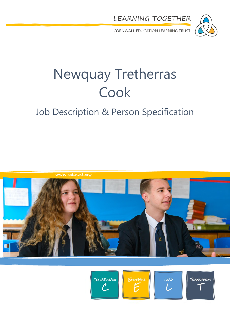



CORNWALL EDUCATION LEARNING TRUST

# Newquay Tretherras Cook

### Job Description & Person Specification









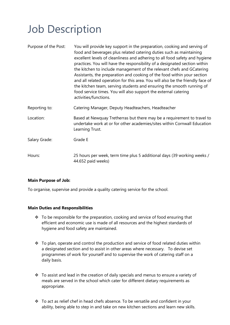### Job Description

| Purpose of the Post: | You will provide key support in the preparation, cooking and serving of<br>food and beverages plus related catering duties such as maintaining<br>excellent levels of cleanliness and adhering to all food safety and hygiene<br>practices. You will have the responsibility of a designated section within<br>the kitchen to include management of the relevant chefs and GCatering<br>Assistants, the preparation and cooking of the food within your section<br>and all related operation for this area. You will also be the friendly face of<br>the kitchen team, serving students and ensuring the smooth running of<br>food service times. You will also support the external catering<br>activities/functions. |
|----------------------|------------------------------------------------------------------------------------------------------------------------------------------------------------------------------------------------------------------------------------------------------------------------------------------------------------------------------------------------------------------------------------------------------------------------------------------------------------------------------------------------------------------------------------------------------------------------------------------------------------------------------------------------------------------------------------------------------------------------|
| Reporting to:        | Catering Manager, Deputy Headteachers, Headteacher                                                                                                                                                                                                                                                                                                                                                                                                                                                                                                                                                                                                                                                                     |
| Location:            | Based at Newquay Tretherras but there may be a requirement to travel to<br>undertake work at or for other academies/sites within Cornwall Education<br>Learning Trust.                                                                                                                                                                                                                                                                                                                                                                                                                                                                                                                                                 |
| Salary Grade:        | Grade E                                                                                                                                                                                                                                                                                                                                                                                                                                                                                                                                                                                                                                                                                                                |
| Hours:               | 25 hours per week, term time plus 5 additional days (39 working weeks /<br>44.652 paid weeks)                                                                                                                                                                                                                                                                                                                                                                                                                                                                                                                                                                                                                          |

#### **Main Purpose of Job:**

To organise, supervise and provide a quality catering service for the school.

#### **Main Duties and Responsibilities**

- $\cdot$  To be responsible for the preparation, cooking and service of food ensuring that efficient and economic use is made of all resources and the highest standards of hygiene and food safety are maintained.
- $\cdot \cdot$  To plan, operate and control the production and service of food related duties within a designated section and to assist in other areas where necessary. To devise set programmes of work for yourself and to supervise the work of catering staff on a daily basis.
- \* To assist and lead in the creation of daily specials and menus to ensure a variety of meals are served in the school which cater for different dietary requirements as appropriate.
- \* To act as relief chef in head chefs absence. To be versatile and confident in your ability, being able to step in and take on new kitchen sections and learn new skills.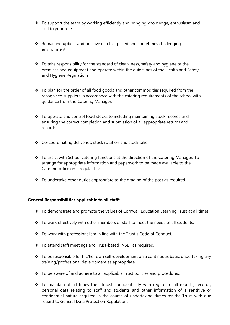- \* To support the team by working efficiently and bringing knowledge, enthusiasm and skill to your role.
- $\cdot$  Remaining upbeat and positive in a fast paced and sometimes challenging environment.
- $\cdot$  To take responsibility for the standard of cleanliness, safety and hygiene of the premises and equipment and operate within the guidelines of the Health and Safety and Hygiene Regulations.
- $\div$  To plan for the order of all food goods and other commodities required from the recognised suppliers in accordance with the catering requirements of the school with guidance from the Catering Manager.
- $\cdot$  To operate and control food stocks to including maintaining stock records and ensuring the correct completion and submission of all appropriate returns and records.
- Co-coordinating deliveries, stock rotation and stock take.
- \* To assist with School catering functions at the direction of the Catering Manager. To arrange for appropriate information and paperwork to be made available to the Catering office on a regular basis.
- $\cdot \cdot$  To undertake other duties appropriate to the grading of the post as required.

#### **General Responsibilities applicable to all staff:**

- \* To demonstrate and promote the values of Cornwall Education Learning Trust at all times.
- \* To work effectively with other members of staff to meet the needs of all students.
- To work with professionalism in line with the Trust's Code of Conduct.
- To attend staff meetings and Trust-based INSET as required.
- $\cdot$  To be responsible for his/her own self-development on a continuous basis, undertaking any training/professional development as appropriate.
- $\cdot \cdot$  To be aware of and adhere to all applicable Trust policies and procedures.
- $\div$  To maintain at all times the utmost confidentiality with regard to all reports, records, personal data relating to staff and students and other information of a sensitive or confidential nature acquired in the course of undertaking duties for the Trust, with due regard to General Data Protection Regulations.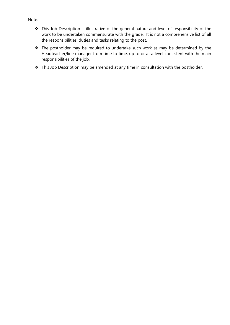#### Note:

- This Job Description is illustrative of the general nature and level of responsibility of the work to be undertaken commensurate with the grade. It is not a comprehensive list of all the responsibilities, duties and tasks relating to the post.
- \* The postholder may be required to undertake such work as may be determined by the Headteacher/line manager from time to time, up to or at a level consistent with the main responsibilities of the job.
- \* This Job Description may be amended at any time in consultation with the postholder.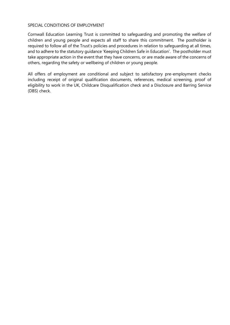#### SPECIAL CONDITIONS OF EMPLOYMENT

Cornwall Education Learning Trust is committed to safeguarding and promoting the welfare of children and young people and expects all staff to share this commitment. The postholder is required to follow all of the Trust's policies and procedures in relation to safeguarding at all times, and to adhere to the statutory guidance 'Keeping Children Safe in Education'. The postholder must take appropriate action in the event that they have concerns, or are made aware of the concerns of others, regarding the safety or wellbeing of children or young people.

All offers of employment are conditional and subject to satisfactory pre-employment checks including receipt of original qualification documents, references, medical screening, proof of eligibility to work in the UK, Childcare Disqualification check and a Disclosure and Barring Service (DBS) check.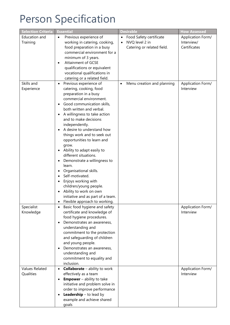## Person Specification

| <b>Selection Criteria</b>          | <b>Essential</b>                                                                                                                                                                                                                                                                                                                                                                                                                                                                                                                                                                                                                                           | <b>Desirable</b>                                                                                  | <b>How Assessed</b>                             |
|------------------------------------|------------------------------------------------------------------------------------------------------------------------------------------------------------------------------------------------------------------------------------------------------------------------------------------------------------------------------------------------------------------------------------------------------------------------------------------------------------------------------------------------------------------------------------------------------------------------------------------------------------------------------------------------------------|---------------------------------------------------------------------------------------------------|-------------------------------------------------|
| Education and<br>Training          | Previous experience of<br>$\bullet$<br>working in catering, cooking,<br>food preparation in a busy<br>commercial environment for a<br>minimum of 3 years.<br><b>Attainment of GCSE</b><br>$\bullet$<br>qualifications or equivalent<br>vocational qualifications in<br>catering or a related field.                                                                                                                                                                                                                                                                                                                                                        | Food Safety certificate<br>$\bullet$<br>NVQ level 2 in<br>$\bullet$<br>Catering or related field. | Application Form/<br>Interview/<br>Certificates |
| Skills and<br>Experience           | Previous experience of<br>$\bullet$<br>catering, cooking, food<br>preparation in a busy<br>commercial environment.<br>Good communication skills,<br>both written and verbal.<br>A willingness to take action<br>and to make decisions<br>independently.<br>A desire to understand how<br>things work and to seek out<br>opportunities to learn and<br>grow.<br>Ability to adapt easily to<br>different situations.<br>Demonstrate a willingness to<br>learn.<br>Organisational skills.<br>Self-motivated.<br>Enjoys working with<br>children/young people.<br>Ability to work on own<br>initiative and as part of a team.<br>Flexible approach to working. | Menu creation and planning<br>$\bullet$                                                           | Application Form/<br>Interview                  |
| Specialist<br>Knowledge            | Basic food hygiene and safety<br>certificate and knowledge of<br>food hygiene procedures.<br>Demonstrates an awareness,<br>٠<br>understanding and<br>commitment to the protection<br>and safeguarding of children<br>and young people.<br>Demonstrates an awareness,<br>understanding and<br>commitment to equality and<br>inclusion.                                                                                                                                                                                                                                                                                                                      |                                                                                                   | Application Form/<br>Interview                  |
| <b>Values Related</b><br>Qualities | <b>Collaborate</b> – ability to work<br>$\bullet$<br>effectively as a team<br><b>Empower</b> – ability to take<br>$\bullet$<br>initiative and problem solve in<br>order to improve performance<br><b>Leadership</b> $-$ to lead by<br>example and achieve shared<br>goals                                                                                                                                                                                                                                                                                                                                                                                  |                                                                                                   | Application Form/<br>Interview                  |